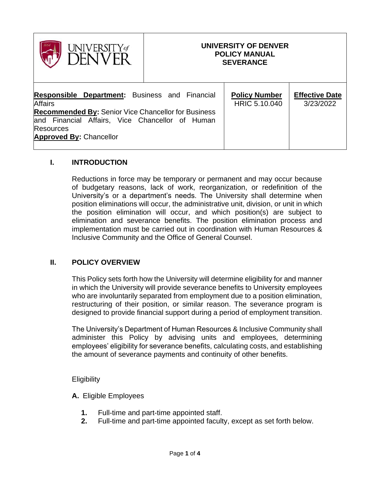

## **UNIVERSITY OF DENVER POLICY MANUAL SEVERANCE**

| <b>Responsible Department:</b> Business and Financial      | <b>Policy Number</b> | <b>Effective Date</b> |
|------------------------------------------------------------|----------------------|-----------------------|
| <b>Affairs</b>                                             | HRIC 5.10.040        | 3/23/2022             |
| <b>Recommended By: Senior Vice Chancellor for Business</b> |                      |                       |
| and Financial Affairs, Vice Chancellor of Human            |                      |                       |
| <b>Resources</b>                                           |                      |                       |
| <b>Approved By: Chancellor</b>                             |                      |                       |
|                                                            |                      |                       |

# **I. INTRODUCTION**

Reductions in force may be temporary or permanent and may occur because of budgetary reasons, lack of work, reorganization, or redefinition of the University's or a department's needs. The University shall determine when position eliminations will occur, the administrative unit, division, or unit in which the position elimination will occur, and which position(s) are subject to elimination and severance benefits. The position elimination process and implementation must be carried out in coordination with Human Resources & Inclusive Community and the Office of General Counsel.

### **II. POLICY OVERVIEW**

This Policy sets forth how the University will determine eligibility for and manner in which the University will provide severance benefits to University employees who are involuntarily separated from employment due to a position elimination, restructuring of their position, or similar reason. The severance program is designed to provide financial support during a period of employment transition.

The University's Department of Human Resources & Inclusive Community shall administer this Policy by advising units and employees, determining employees' eligibility for severance benefits, calculating costs, and establishing the amount of severance payments and continuity of other benefits.

### **Eligibility**

- **A.** Eligible Employees
	- **1.** Full-time and part-time appointed staff.
	- **2.** Full-time and part-time appointed faculty, except as set forth below.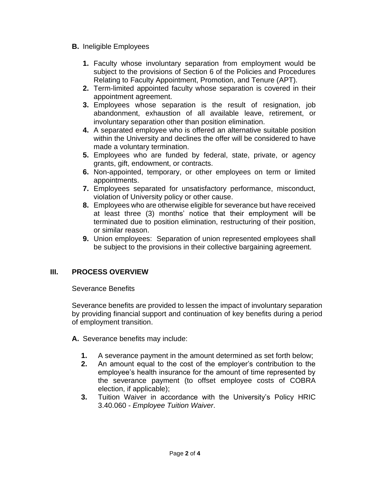- **B.** Ineligible Employees
	- **1.** Faculty whose involuntary separation from employment would be subject to the provisions of Section 6 of the Policies and Procedures Relating to Faculty Appointment, Promotion, and Tenure (APT).
	- **2.** Term-limited appointed faculty whose separation is covered in their appointment agreement.
	- **3.** Employees whose separation is the result of resignation, job abandonment, exhaustion of all available leave, retirement, or involuntary separation other than position elimination.
	- **4.** A separated employee who is offered an alternative suitable position within the University and declines the offer will be considered to have made a voluntary termination.
	- **5.** Employees who are funded by federal, state, private, or agency grants, gift, endowment, or contracts.
	- **6.** Non-appointed, temporary, or other employees on term or limited appointments.
	- **7.** Employees separated for unsatisfactory performance, misconduct, violation of University policy or other cause.
	- **8.** Employees who are otherwise eligible for severance but have received at least three (3) months' notice that their employment will be terminated due to position elimination, restructuring of their position, or similar reason.
	- **9.** Union employees: Separation of union represented employees shall be subject to the provisions in their collective bargaining agreement.

# **III. PROCESS OVERVIEW**

Severance Benefits

Severance benefits are provided to lessen the impact of involuntary separation by providing financial support and continuation of key benefits during a period of employment transition.

- **A.** Severance benefits may include:
	- **1.** A severance payment in the amount determined as set forth below;
	- **2.** An amount equal to the cost of the employer's contribution to the employee's health insurance for the amount of time represented by the severance payment (to offset employee costs of COBRA election, if applicable);
	- **3.** Tuition Waiver in accordance with the University's Policy HRIC 3.40.060 - *Employee Tuition Waiver*.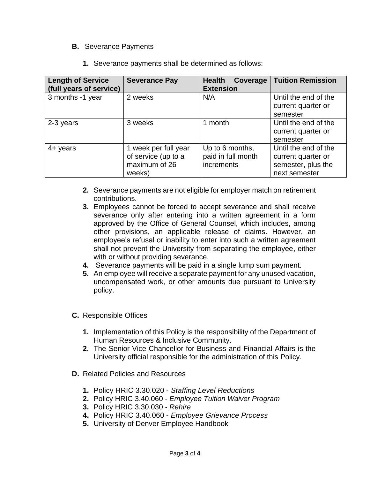## **B.** Severance Payments

| <b>Length of Service</b><br>(full years of service) | <b>Severance Pay</b>                                                   | <b>Health</b><br>Coverage<br><b>Extension</b>       | <b>Tuition Remission</b>                                                          |
|-----------------------------------------------------|------------------------------------------------------------------------|-----------------------------------------------------|-----------------------------------------------------------------------------------|
| 3 months -1 year                                    | 2 weeks                                                                | N/A                                                 | Until the end of the<br>current quarter or<br>semester                            |
| 2-3 years                                           | 3 weeks                                                                | 1 month                                             | Until the end of the<br>current quarter or<br>semester                            |
| $4 + \gamma$ ears                                   | 1 week per full year<br>of service (up to a<br>maximum of 26<br>weeks) | Up to 6 months,<br>paid in full month<br>increments | Until the end of the<br>current quarter or<br>semester, plus the<br>next semester |

- **2.** Severance payments are not eligible for employer match on retirement contributions.
- **3.** Employees cannot be forced to accept severance and shall receive severance only after entering into a written agreement in a form approved by the Office of General Counsel, which includes, among other provisions, an applicable release of claims. However, an employee's refusal or inability to enter into such a written agreement shall not prevent the University from separating the employee, either with or without providing severance.
- **4.** Severance payments will be paid in a single lump sum payment.
- **5.** An employee will receive a separate payment for any unused vacation, uncompensated work, or other amounts due pursuant to University policy.
- **C.** Responsible Offices
	- **1.** Implementation of this Policy is the responsibility of the Department of Human Resources & Inclusive Community.
	- **2.** The Senior Vice Chancellor for Business and Financial Affairs is the University official responsible for the administration of this Policy.
- **D.** Related Policies and Resources
	- **1.** Policy HRIC 3.30.020 *Staffing Level Reductions*
	- **2.** Policy HRIC 3.40.060 *Employee Tuition Waiver Program*
	- **3.** Policy HRIC 3.30.030 *Rehire*
	- **4.** Policy HRIC 3.40.060 *Employee Grievance Process*
	- **5.** University of Denver Employee Handbook